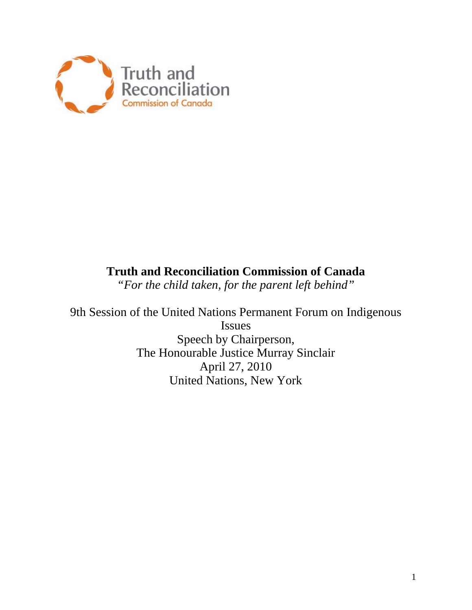

## **Truth and Reconciliation Commission of Canada**

*"For the child taken, for the parent left behind"*

9th Session of the United Nations Permanent Forum on Indigenous Issues Speech by Chairperson, The Honourable Justice Murray Sinclair April 27, 2010 United Nations, New York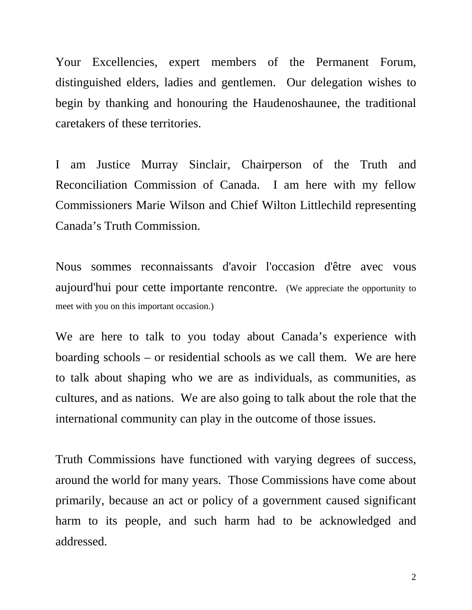Your Excellencies, expert members of the Permanent Forum, distinguished elders, ladies and gentlemen. Our delegation wishes to begin by thanking and honouring the Haudenoshaunee, the traditional caretakers of these territories.

I am Justice Murray Sinclair, Chairperson of the Truth and Reconciliation Commission of Canada. I am here with my fellow Commissioners Marie Wilson and Chief Wilton Littlechild representing Canada's Truth Commission.

Nous sommes reconnaissants d'avoir l'occasion d'être avec vous aujourd'hui pour cette importante rencontre. (We appreciate the opportunity to meet with you on this important occasion.)

We are here to talk to you today about Canada's experience with boarding schools – or residential schools as we call them. We are here to talk about shaping who we are as individuals, as communities, as cultures, and as nations. We are also going to talk about the role that the international community can play in the outcome of those issues.

Truth Commissions have functioned with varying degrees of success, around the world for many years. Those Commissions have come about primarily, because an act or policy of a government caused significant harm to its people, and such harm had to be acknowledged and addressed.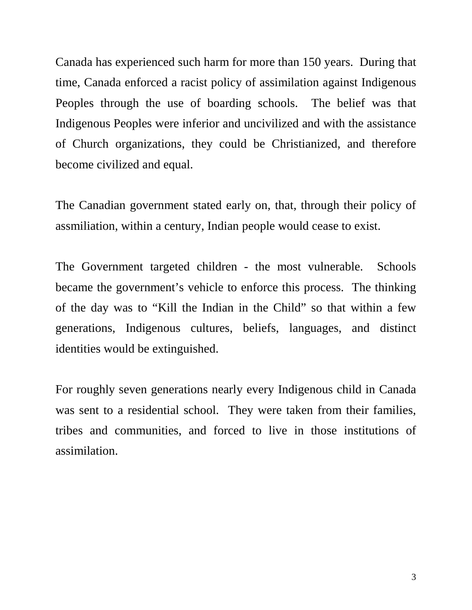Canada has experienced such harm for more than 150 years. During that time, Canada enforced a racist policy of assimilation against Indigenous Peoples through the use of boarding schools. The belief was that Indigenous Peoples were inferior and uncivilized and with the assistance of Church organizations, they could be Christianized, and therefore become civilized and equal.

The Canadian government stated early on, that, through their policy of assmiliation, within a century, Indian people would cease to exist.

The Government targeted children - the most vulnerable. Schools became the government's vehicle to enforce this process. The thinking of the day was to "Kill the Indian in the Child" so that within a few generations, Indigenous cultures, beliefs, languages, and distinct identities would be extinguished.

For roughly seven generations nearly every Indigenous child in Canada was sent to a residential school. They were taken from their families, tribes and communities, and forced to live in those institutions of assimilation.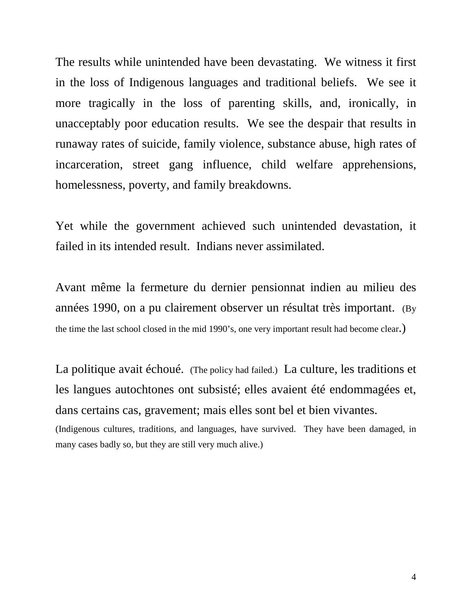The results while unintended have been devastating. We witness it first in the loss of Indigenous languages and traditional beliefs. We see it more tragically in the loss of parenting skills, and, ironically, in unacceptably poor education results. We see the despair that results in runaway rates of suicide, family violence, substance abuse, high rates of incarceration, street gang influence, child welfare apprehensions, homelessness, poverty, and family breakdowns.

Yet while the government achieved such unintended devastation, it failed in its intended result. Indians never assimilated.

Avant même la fermeture du dernier pensionnat indien au milieu des années 1990, on a pu clairement observer un résultat très important. (By the time the last school closed in the mid 1990's, one very important result had become clear.)

La politique avait échoué. (The policy had failed.) La culture, les traditions et les langues autochtones ont subsisté; elles avaient été endommagées et, dans certains cas, gravement; mais elles sont bel et bien vivantes. (Indigenous cultures, traditions, and languages, have survived. They have been damaged, in many cases badly so, but they are still very much alive.)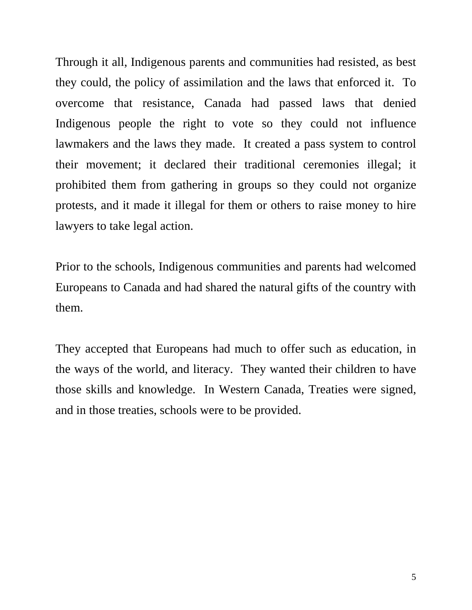Through it all, Indigenous parents and communities had resisted, as best they could, the policy of assimilation and the laws that enforced it. To overcome that resistance, Canada had passed laws that denied Indigenous people the right to vote so they could not influence lawmakers and the laws they made. It created a pass system to control their movement; it declared their traditional ceremonies illegal; it prohibited them from gathering in groups so they could not organize protests, and it made it illegal for them or others to raise money to hire lawyers to take legal action.

Prior to the schools, Indigenous communities and parents had welcomed Europeans to Canada and had shared the natural gifts of the country with them.

They accepted that Europeans had much to offer such as education, in the ways of the world, and literacy. They wanted their children to have those skills and knowledge. In Western Canada, Treaties were signed, and in those treaties, schools were to be provided.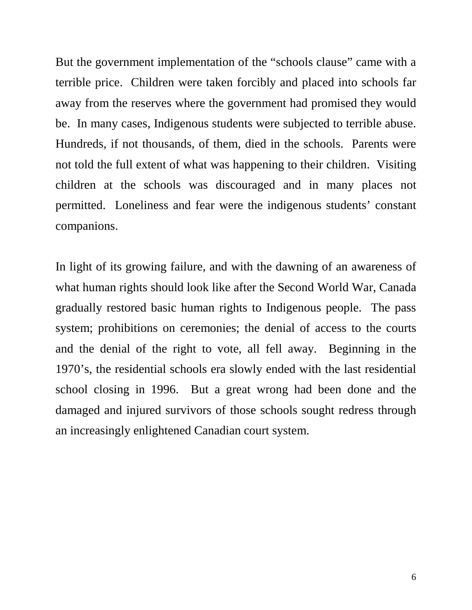But the government implementation of the "schools clause" came with a terrible price. Children were taken forcibly and placed into schools far away from the reserves where the government had promised they would be. In many cases, Indigenous students were subjected to terrible abuse. Hundreds, if not thousands, of them, died in the schools. Parents were not told the full extent of what was happening to their children. Visiting children at the schools was discouraged and in many places not permitted. Loneliness and fear were the indigenous students' constant companions.

In light of its growing failure, and with the dawning of an awareness of what human rights should look like after the Second World War, Canada gradually restored basic human rights to Indigenous people. The pass system; prohibitions on ceremonies; the denial of access to the courts and the denial of the right to vote, all fell away. Beginning in the 1970's, the residential schools era slowly ended with the last residential school closing in 1996. But a great wrong had been done and the damaged and injured survivors of those schools sought redress through an increasingly enlightened Canadian court system.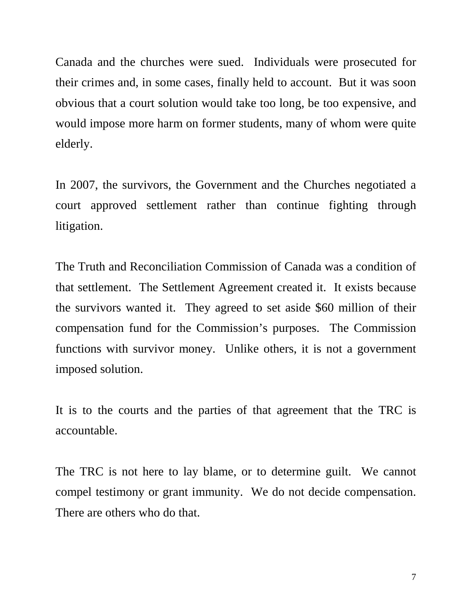Canada and the churches were sued. Individuals were prosecuted for their crimes and, in some cases, finally held to account. But it was soon obvious that a court solution would take too long, be too expensive, and would impose more harm on former students, many of whom were quite elderly.

In 2007, the survivors, the Government and the Churches negotiated a court approved settlement rather than continue fighting through litigation.

The Truth and Reconciliation Commission of Canada was a condition of that settlement. The Settlement Agreement created it. It exists because the survivors wanted it. They agreed to set aside \$60 million of their compensation fund for the Commission's purposes. The Commission functions with survivor money. Unlike others, it is not a government imposed solution.

It is to the courts and the parties of that agreement that the TRC is accountable.

The TRC is not here to lay blame, or to determine guilt. We cannot compel testimony or grant immunity. We do not decide compensation. There are others who do that.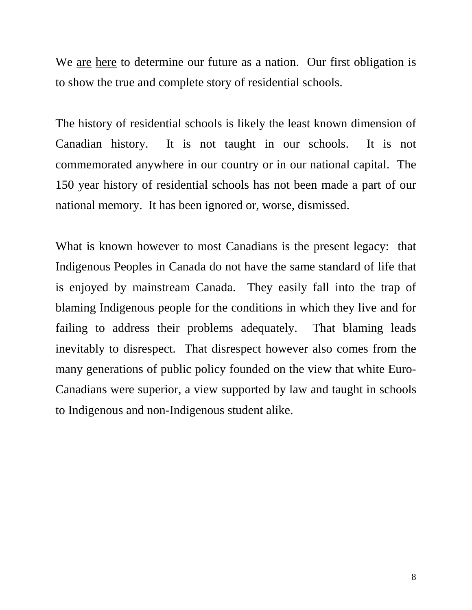We are here to determine our future as a nation. Our first obligation is to show the true and complete story of residential schools.

The history of residential schools is likely the least known dimension of Canadian history. It is not taught in our schools. It is not commemorated anywhere in our country or in our national capital. The 150 year history of residential schools has not been made a part of our national memory. It has been ignored or, worse, dismissed.

What is known however to most Canadians is the present legacy: that Indigenous Peoples in Canada do not have the same standard of life that is enjoyed by mainstream Canada. They easily fall into the trap of blaming Indigenous people for the conditions in which they live and for failing to address their problems adequately. That blaming leads inevitably to disrespect. That disrespect however also comes from the many generations of public policy founded on the view that white Euro-Canadians were superior, a view supported by law and taught in schools to Indigenous and non-Indigenous student alike.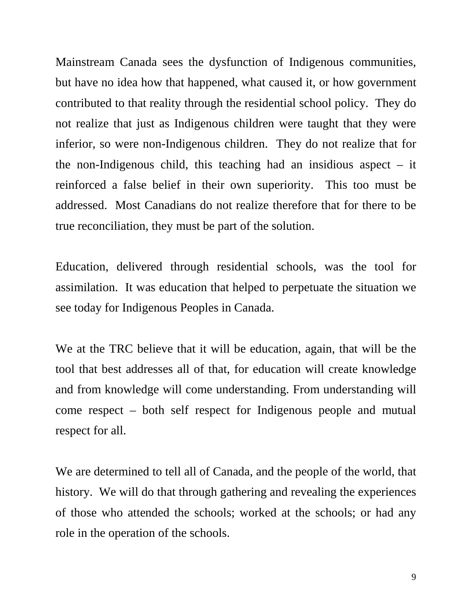Mainstream Canada sees the dysfunction of Indigenous communities, but have no idea how that happened, what caused it, or how government contributed to that reality through the residential school policy. They do not realize that just as Indigenous children were taught that they were inferior, so were non-Indigenous children. They do not realize that for the non-Indigenous child, this teaching had an insidious aspect – it reinforced a false belief in their own superiority. This too must be addressed. Most Canadians do not realize therefore that for there to be true reconciliation, they must be part of the solution.

Education, delivered through residential schools, was the tool for assimilation. It was education that helped to perpetuate the situation we see today for Indigenous Peoples in Canada.

We at the TRC believe that it will be education, again, that will be the tool that best addresses all of that, for education will create knowledge and from knowledge will come understanding. From understanding will come respect – both self respect for Indigenous people and mutual respect for all.

We are determined to tell all of Canada, and the people of the world, that history. We will do that through gathering and revealing the experiences of those who attended the schools; worked at the schools; or had any role in the operation of the schools.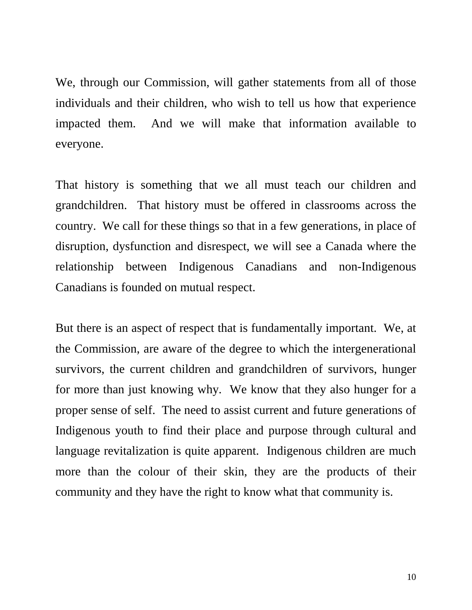We, through our Commission, will gather statements from all of those individuals and their children, who wish to tell us how that experience impacted them. And we will make that information available to everyone.

That history is something that we all must teach our children and grandchildren. That history must be offered in classrooms across the country. We call for these things so that in a few generations, in place of disruption, dysfunction and disrespect, we will see a Canada where the relationship between Indigenous Canadians and non-Indigenous Canadians is founded on mutual respect.

But there is an aspect of respect that is fundamentally important. We, at the Commission, are aware of the degree to which the intergenerational survivors, the current children and grandchildren of survivors, hunger for more than just knowing why. We know that they also hunger for a proper sense of self. The need to assist current and future generations of Indigenous youth to find their place and purpose through cultural and language revitalization is quite apparent. Indigenous children are much more than the colour of their skin, they are the products of their community and they have the right to know what that community is.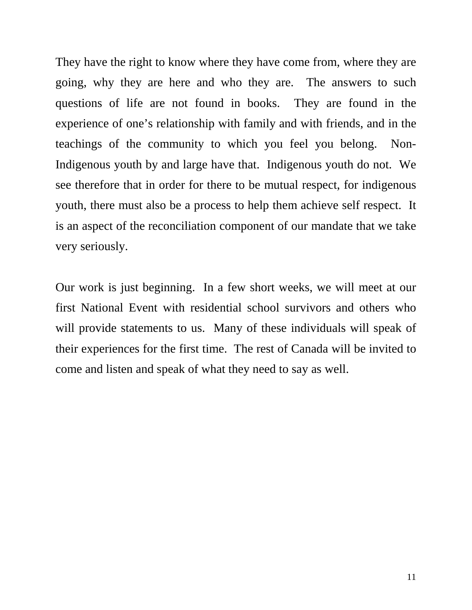They have the right to know where they have come from, where they are going, why they are here and who they are. The answers to such questions of life are not found in books. They are found in the experience of one's relationship with family and with friends, and in the teachings of the community to which you feel you belong. Non-Indigenous youth by and large have that. Indigenous youth do not. We see therefore that in order for there to be mutual respect, for indigenous youth, there must also be a process to help them achieve self respect. It is an aspect of the reconciliation component of our mandate that we take very seriously.

Our work is just beginning. In a few short weeks, we will meet at our first National Event with residential school survivors and others who will provide statements to us. Many of these individuals will speak of their experiences for the first time. The rest of Canada will be invited to come and listen and speak of what they need to say as well.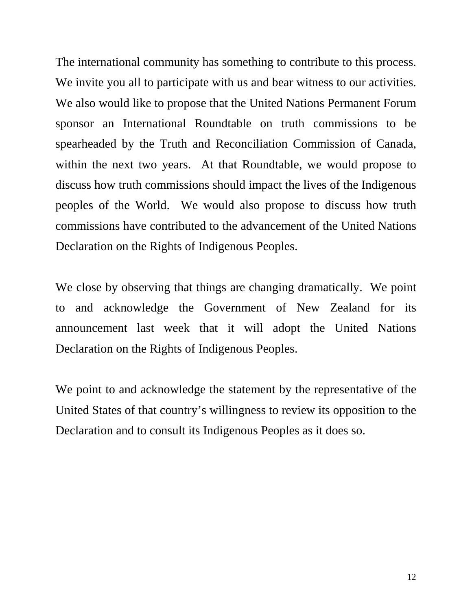The international community has something to contribute to this process. We invite you all to participate with us and bear witness to our activities. We also would like to propose that the United Nations Permanent Forum sponsor an International Roundtable on truth commissions to be spearheaded by the Truth and Reconciliation Commission of Canada, within the next two years. At that Roundtable, we would propose to discuss how truth commissions should impact the lives of the Indigenous peoples of the World. We would also propose to discuss how truth commissions have contributed to the advancement of the United Nations Declaration on the Rights of Indigenous Peoples.

We close by observing that things are changing dramatically. We point to and acknowledge the Government of New Zealand for its announcement last week that it will adopt the United Nations Declaration on the Rights of Indigenous Peoples.

We point to and acknowledge the statement by the representative of the United States of that country's willingness to review its opposition to the Declaration and to consult its Indigenous Peoples as it does so.